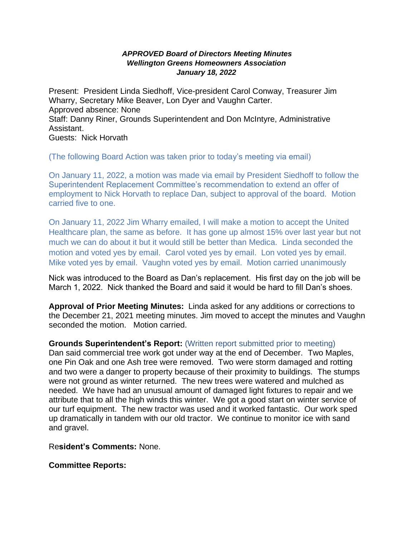## *APPROVED Board of Directors Meeting Minutes Wellington Greens Homeowners Association January 18, 2022*

Present: President Linda Siedhoff, Vice-president Carol Conway, Treasurer Jim Wharry, Secretary Mike Beaver, Lon Dyer and Vaughn Carter. Approved absence: None Staff: Danny Riner, Grounds Superintendent and Don McIntyre, Administrative Assistant. Guests: Nick Horvath

(The following Board Action was taken prior to today's meeting via email)

On January 11, 2022, a motion was made via email by President Siedhoff to follow the Superintendent Replacement Committee's recommendation to extend an offer of employment to Nick Horvath to replace Dan, subject to approval of the board. Motion carried five to one.

On January 11, 2022 Jim Wharry emailed, I will make a motion to accept the United Healthcare plan, the same as before. It has gone up almost 15% over last year but not much we can do about it but it would still be better than Medica. Linda seconded the motion and voted yes by email. Carol voted yes by email. Lon voted yes by email. Mike voted yes by email. Vaughn voted yes by email. Motion carried unanimously

Nick was introduced to the Board as Dan's replacement. His first day on the job will be March 1, 2022. Nick thanked the Board and said it would be hard to fill Dan's shoes.

**Approval of Prior Meeting Minutes:** Linda asked for any additions or corrections to the December 21, 2021 meeting minutes. Jim moved to accept the minutes and Vaughn seconded the motion. Motion carried.

## **Grounds Superintendent's Report:** (Written report submitted prior to meeting)

Dan said commercial tree work got under way at the end of December. Two Maples, one Pin Oak and one Ash tree were removed. Two were storm damaged and rotting and two were a danger to property because of their proximity to buildings. The stumps were not ground as winter returned. The new trees were watered and mulched as needed. We have had an unusual amount of damaged light fixtures to repair and we attribute that to all the high winds this winter. We got a good start on winter service of our turf equipment. The new tractor was used and it worked fantastic. Our work sped up dramatically in tandem with our old tractor. We continue to monitor ice with sand and gravel.

Re**sident's Comments:** None.

**Committee Reports:**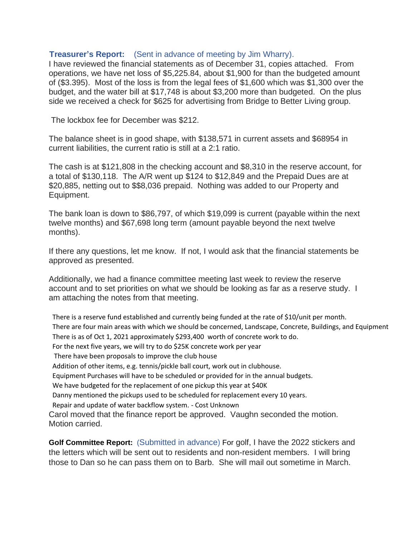## **Treasurer's Report:** (Sent in advance of meeting by Jim Wharry).

I have reviewed the financial statements as of December 31, copies attached. From operations, we have net loss of \$5,225.84, about \$1,900 for than the budgeted amount of (\$3.395). Most of the loss is from the legal fees of \$1,600 which was \$1,300 over the budget, and the water bill at \$17,748 is about \$3,200 more than budgeted. On the plus side we received a check for \$625 for advertising from Bridge to Better Living group.

The lockbox fee for December was \$212.

The balance sheet is in good shape, with \$138,571 in current assets and \$68954 in current liabilities, the current ratio is still at a 2:1 ratio.

The cash is at \$121,808 in the checking account and \$8,310 in the reserve account, for a total of \$130,118. The A/R went up \$124 to \$12,849 and the Prepaid Dues are at \$20,885, netting out to \$\$8,036 prepaid. Nothing was added to our Property and Equipment.

The bank loan is down to \$86,797, of which \$19,099 is current (payable within the next twelve months) and \$67,698 long term (amount payable beyond the next twelve months).

If there any questions, let me know. If not, I would ask that the financial statements be approved as presented.

Additionally, we had a finance committee meeting last week to review the reserve account and to set priorities on what we should be looking as far as a reserve study. I am attaching the notes from that meeting.

There is a reserve fund established and currently being funded at the rate of \$10/unit per month. There are four main areas with which we should be concerned, Landscape, Concrete, Buildings, and Equipment There is as of Oct 1, 2021 approximately \$293,400 worth of concrete work to do. For the next five years, we will try to do \$25K concrete work per year There have been proposals to improve the club house Addition of other items, e.g. tennis/pickle ball court, work out in clubhouse. Equipment Purchases will have to be scheduled or provided for in the annual budgets. We have budgeted for the replacement of one pickup this year at \$40K Danny mentioned the pickups used to be scheduled for replacement every 10 years. Repair and update of water backflow system. - Cost Unknown Carol moved that the finance report be approved. Vaughn seconded the motion. Motion carried.

**Golf Committee Report:** (Submitted in advance) For golf, I have the 2022 stickers and the letters which will be sent out to residents and non-resident members. I will bring those to Dan so he can pass them on to Barb. She will mail out sometime in March.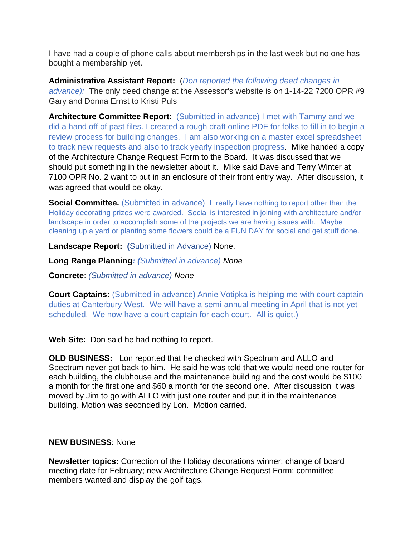I have had a couple of phone calls about memberships in the last week but no one has bought a membership yet.

**Administrative Assistant Report:** (*Don reported the following deed changes in advance):* The only deed change at the Assessor's website is on 1-14-22 7200 OPR #9 Gary and Donna Ernst to Kristi Puls

**Architecture Committee Report**: (Submitted in advance) I met with Tammy and we did a hand off of past files. I created a rough draft online PDF for folks to fill in to begin a review process for building changes. I am also working on a master excel spreadsheet to track new requests and also to track yearly inspection progress. Mike handed a copy of the Architecture Change Request Form to the Board. It was discussed that we should put something in the newsletter about it. Mike said Dave and Terry Winter at 7100 OPR No. 2 want to put in an enclosure of their front entry way. After discussion, it was agreed that would be okay.

**Social Committee.** (Submitted in advance) I really have nothing to report other than the Holiday decorating prizes were awarded. Social is interested in joining with architecture and/or landscape in order to accomplish some of the projects we are having issues with. Maybe cleaning up a yard or planting some flowers could be a FUN DAY for social and get stuff done.

**Landscape Report: (**Submitted in Advance) None.

**Long Range Planning***: (Submitted in advance) None*

**Concrete**: *(Submitted in advance) None*

**Court Captains:** (Submitted in advance) Annie Votipka is helping me with court captain duties at Canterbury West. We will have a semi-annual meeting in April that is not yet scheduled. We now have a court captain for each court. All is quiet.)

**Web Site:** Don said he had nothing to report.

**OLD BUSINESS:** Lon reported that he checked with Spectrum and ALLO and Spectrum never got back to him. He said he was told that we would need one router for each building, the clubhouse and the maintenance building and the cost would be \$100 a month for the first one and \$60 a month for the second one. After discussion it was moved by Jim to go with ALLO with just one router and put it in the maintenance building. Motion was seconded by Lon. Motion carried.

## **NEW BUSINESS**: None

**Newsletter topics:** Correction of the Holiday decorations winner; change of board meeting date for February; new Architecture Change Request Form; committee members wanted and display the golf tags.